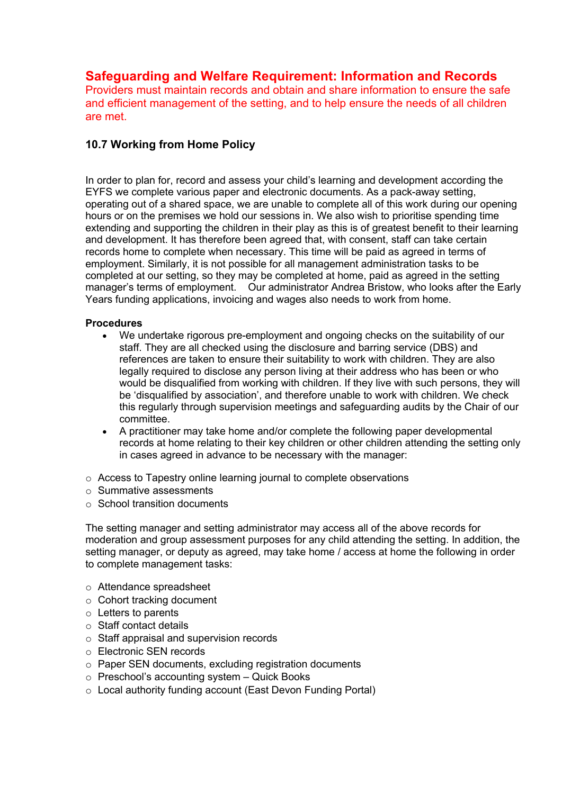# **Safeguarding and Welfare Requirement: Information and Records**

Providers must maintain records and obtain and share information to ensure the safe and efficient management of the setting, and to help ensure the needs of all children are met.

## **10.7 Working from Home Policy**

In order to plan for, record and assess your child's learning and development according the EYFS we complete various paper and electronic documents. As a pack-away setting, operating out of a shared space, we are unable to complete all of this work during our opening hours or on the premises we hold our sessions in. We also wish to prioritise spending time extending and supporting the children in their play as this is of greatest benefit to their learning and development. It has therefore been agreed that, with consent, staff can take certain records home to complete when necessary. This time will be paid as agreed in terms of employment. Similarly, it is not possible for all management administration tasks to be completed at our setting, so they may be completed at home, paid as agreed in the setting manager's terms of employment. Our administrator Andrea Bristow, who looks after the Early Years funding applications, invoicing and wages also needs to work from home.

#### **Procedures**

- We undertake rigorous pre-employment and ongoing checks on the suitability of our staff. They are all checked using the disclosure and barring service (DBS) and references are taken to ensure their suitability to work with children. They are also legally required to disclose any person living at their address who has been or who would be disqualified from working with children. If they live with such persons, they will be 'disqualified by association', and therefore unable to work with children. We check this regularly through supervision meetings and safeguarding audits by the Chair of our committee.
- A practitioner may take home and/or complete the following paper developmental records at home relating to their key children or other children attending the setting only in cases agreed in advance to be necessary with the manager:
- o Access to Tapestry online learning journal to complete observations
- o Summative assessments
- $\circ$  School transition documents

The setting manager and setting administrator may access all of the above records for moderation and group assessment purposes for any child attending the setting. In addition, the setting manager, or deputy as agreed, may take home / access at home the following in order to complete management tasks:

- o Attendance spreadsheet
- o Cohort tracking document
- o Letters to parents
- o Staff contact details
- o Staff appraisal and supervision records
- o Electronic SEN records
- o Paper SEN documents, excluding registration documents
- o Preschool's accounting system Quick Books
- o Local authority funding account (East Devon Funding Portal)